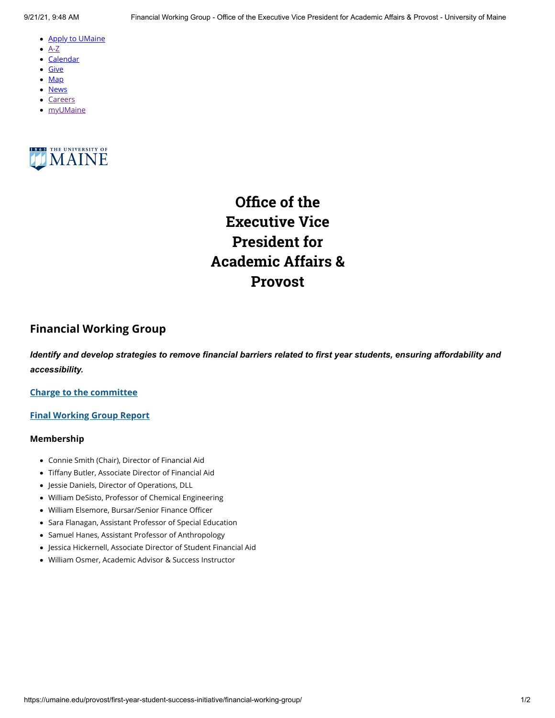- <u>[Apply to UMaine](https://go.umaine.edu/apply/)</u>
- $\bullet$  [A-Z](https://umaine.edu/directory/)
- <u>[Calendar](https://calendar.umaine.edu/)</u>
- <u>[Give](https://securelb.imodules.com/s/300/13-ORONO/foundation/index.aspx?sid=300&gid=13&pgid=748&cid=1912)</u>
- <u>[Map](https://umaine.edu/campus-map)</u>
- <u>[News](https://umaine.edu/news/)</u>
- [Careers](https://umaine.edu/hr/career-opportunities/)
- <u>[myUMaine](https://my.umaine.edu/)</u>



**Office of the Executive Vice President for Academic Affairs & Provost**

# **Financial Working Group**

*Identify and develop strategies to remove financial barriers related to first year students, ensuring affordability and accessibility.*

## **[Charge to the committee](https://umaine.edu/provost/blog/resource/financial-charge/)**

#### **[Final Working Group Report](https://umaine.edu/provost/blog/resource/financials-working-group-final-report/)**

### **Membership**

- Connie Smith (Chair), Director of Financial Aid •
- Tiffany Butler, Associate Director of Financial Aid •
- Jessie Daniels, Director of Operations, DLL •
- William DeSisto, Professor of Chemical Engineering
- William Elsemore, Bursar/Senior Finance Officer
- Sara Flanagan, Assistant Professor of Special Education •
- Samuel Hanes, Assistant Professor of Anthropology
- Jessica Hickernell, Associate Director of Student Financial Aid •
- William Osmer, Academic Advisor & Success Instructor •